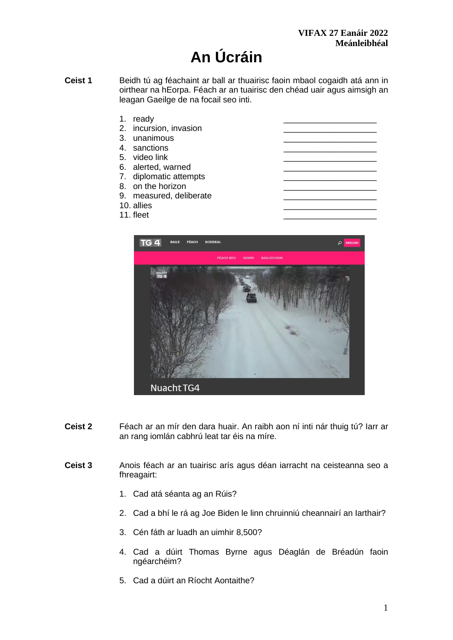# **An Úcráin**

- **Ceist 1** Beidh tú ag féachaint ar ball ar thuairisc faoin mbaol cogaidh atá ann in oirthear na hEorpa. Féach ar an tuairisc den chéad uair agus aimsigh an leagan Gaeilge de na focail seo inti.
	- 1. ready
	- 2. incursion, invasion 3. unanimous
	-
	- 4. sanctions
	- 5. video link
	- 6. alerted, warned
	- 7. diplomatic attempts
	- 8. on the horizon
	- 9. measured, deliberate
	- 10. allies \_\_\_\_\_\_\_\_\_\_\_\_\_\_\_\_\_\_\_\_
	- 11. fleet



- **Ceist 2** Féach ar an mír den dara huair. An raibh aon ní inti nár thuig tú? Iarr ar an rang iomlán cabhrú leat tar éis na míre.
- **Ceist 3** Anois féach ar an tuairisc arís agus déan iarracht na ceisteanna seo a fhreagairt:
	- 1. Cad atá séanta ag an Rúis?
	- 2. Cad a bhí le rá ag Joe Biden le linn chruinniú cheannairí an Iarthair?
	- 3. Cén fáth ar luadh an uimhir 8,500?
	- 4. Cad a dúirt Thomas Byrne agus Déaglán de Bréadún faoin ngéarchéim?
	- 5. Cad a dúirt an Ríocht Aontaithe?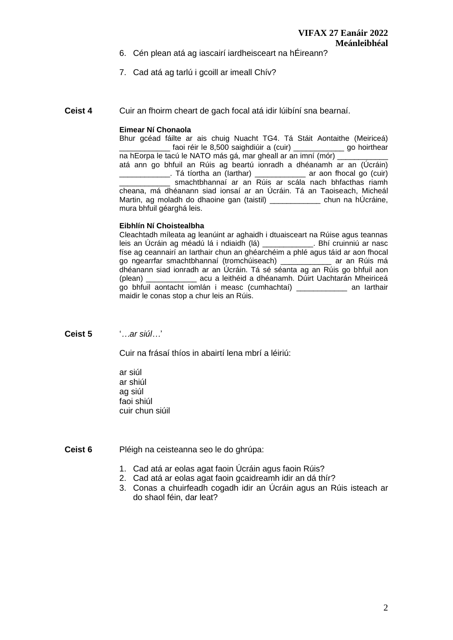- 6. Cén plean atá ag iascairí iardheisceart na hÉireann?
- 7. Cad atá ag tarlú i gcoill ar imeall Chív?

**Ceist 4** Cuir an fhoirm cheart de gach focal atá idir lúibíní sna bearnaí.

## **Eimear Ní Chonaola**

Bhur gcéad fáilte ar ais chuig Nuacht TG4. Tá Stáit Aontaithe (Meiriceá) \_\_\_\_\_\_\_\_\_\_\_\_\_ faoi réir le 8,500 saighdiúir a (cuir) \_\_\_\_\_\_\_\_\_\_\_\_\_\_ go hoirthear na hEorpa le tacú le NATO más gá, mar gheall ar an imní (mór) \_\_\_\_\_\_\_\_\_\_\_\_\_ atá ann go bhfuil an Rúis ag beartú ionradh a dhéanamh ar an (Úcráin) \_\_\_\_\_\_\_\_\_\_\_\_. Tá tíortha an (Iarthar) \_\_\_\_\_\_\_\_\_\_\_\_ ar aon fhocal go (cuir) smachtbhannaí ar an Rúis ar scála nach bhfacthas riamh cheana, má dhéanann siad ionsaí ar an Úcráin. Tá an Taoiseach, Micheál Martin, ag moladh do dhaoine gan (taistil) \_\_\_\_\_\_\_\_\_\_\_ chun na hÚcráine, mura bhfuil géarghá leis.

#### **Eibhlín Ní Choistealbha**

Cleachtadh míleata ag leanúint ar aghaidh i dtuaisceart na Rúise agus teannas leis an Úcráin ag méadú lá i ndiaidh (lá) \_\_\_\_\_\_\_\_\_\_\_\_. Bhí cruinniú ar nasc físe ag ceannairí an Iarthair chun an ghéarchéim a phlé agus táid ar aon fhocal go ngearrfar smachtbhannaí (tromchúiseach) \_\_\_\_\_\_\_\_\_\_\_\_ ar an Rúis má dhéanann siad ionradh ar an Úcráin. Tá sé séanta ag an Rúis go bhfuil aon (plean) \_\_\_\_\_\_\_\_\_\_\_\_ acu a leithéid a dhéanamh. Dúirt Uachtarán Mheiriceá go bhfuil aontacht iomlán i measc (cumhachtaí) \_\_\_\_\_\_\_\_\_\_\_\_ an Iarthair maidir le conas stop a chur leis an Rúis.

**Ceist 5** '*…ar siúl…*'

Cuir na frásaí thíos in abairtí lena mbrí a léiriú:

ar siúl ar shiúl ag siúl faoi shiúl cuir chun siúil

**Ceist 6** Pléigh na ceisteanna seo le do ghrúpa:

- 1. Cad atá ar eolas agat faoin Úcráin agus faoin Rúis?
- 2. Cad atá ar eolas agat faoin gcaidreamh idir an dá thír?
- 3. Conas a chuirfeadh cogadh idir an Úcráin agus an Rúis isteach ar do shaol féin, dar leat?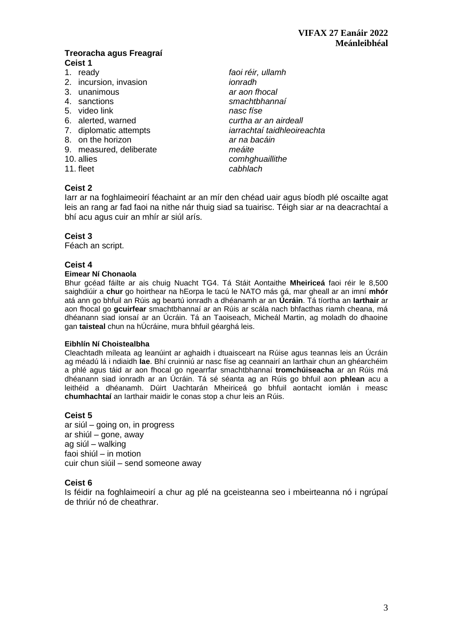## **Treoracha agus Freagraí Ceist 1**

- 
- 2. incursion, invasion *ionradh*
- 
- 
- 5. video link *nasc físe*
- 
- 
- 8. on the horizon *ar na bacáin*
- 9. measured, deliberate *meáite*
- 10. allies *comhghuaillithe*
- 

## **Ceist 2**

1. ready *faoi réir, ullamh* 3. unanimous *ar aon fhocal* 4. sanctions *smachtbhannaí*  6. alerted, warned *curtha ar an airdeall* 7. diplomatic attempts *iarrachtaí taidhleoireachta*  11. fleet *cabhlach* 

Iarr ar na foghlaimeoirí féachaint ar an mír den chéad uair agus bíodh plé oscailte agat leis an rang ar fad faoi na nithe nár thuig siad sa tuairisc. Téigh siar ar na deacrachtaí a bhí acu agus cuir an mhír ar siúl arís.

# **Ceist 3**

Féach an script.

# **Ceist 4**

#### **Eimear Ní Chonaola**

Bhur gcéad fáilte ar ais chuig Nuacht TG4. Tá Stáit Aontaithe **Mheiriceá** faoi réir le 8,500 saighdiúir a **chur** go hoirthear na hEorpa le tacú le NATO más gá, mar gheall ar an imní **mhór** atá ann go bhfuil an Rúis ag beartú ionradh a dhéanamh ar an **Úcráin**. Tá tíortha an **Iarthair** ar aon fhocal go **gcuirfear** smachtbhannaí ar an Rúis ar scála nach bhfacthas riamh cheana, má dhéanann siad ionsaí ar an Úcráin. Tá an Taoiseach, Micheál Martin, ag moladh do dhaoine gan **taisteal** chun na hÚcráine, mura bhfuil géarghá leis.

#### **Eibhlín Ní Choistealbha**

Cleachtadh míleata ag leanúint ar aghaidh i dtuaisceart na Rúise agus teannas leis an Úcráin ag méadú lá i ndiaidh **lae**. Bhí cruinniú ar nasc físe ag ceannairí an Iarthair chun an ghéarchéim a phlé agus táid ar aon fhocal go ngearrfar smachtbhannaí **tromchúiseacha** ar an Rúis má dhéanann siad ionradh ar an Úcráin. Tá sé séanta ag an Rúis go bhfuil aon **phlean** acu a leithéid a dhéanamh. Dúirt Uachtarán Mheiriceá go bhfuil aontacht iomlán i measc **chumhachtaí** an Iarthair maidir le conas stop a chur leis an Rúis.

# **Ceist 5**

ar siúl – going on, in progress ar shiúl – gone, away ag siúl – walking faoi shiúl – in motion cuir chun siúil – send someone away

#### **Ceist 6**

Is féidir na foghlaimeoirí a chur ag plé na gceisteanna seo i mbeirteanna nó i ngrúpaí de thriúr nó de cheathrar.